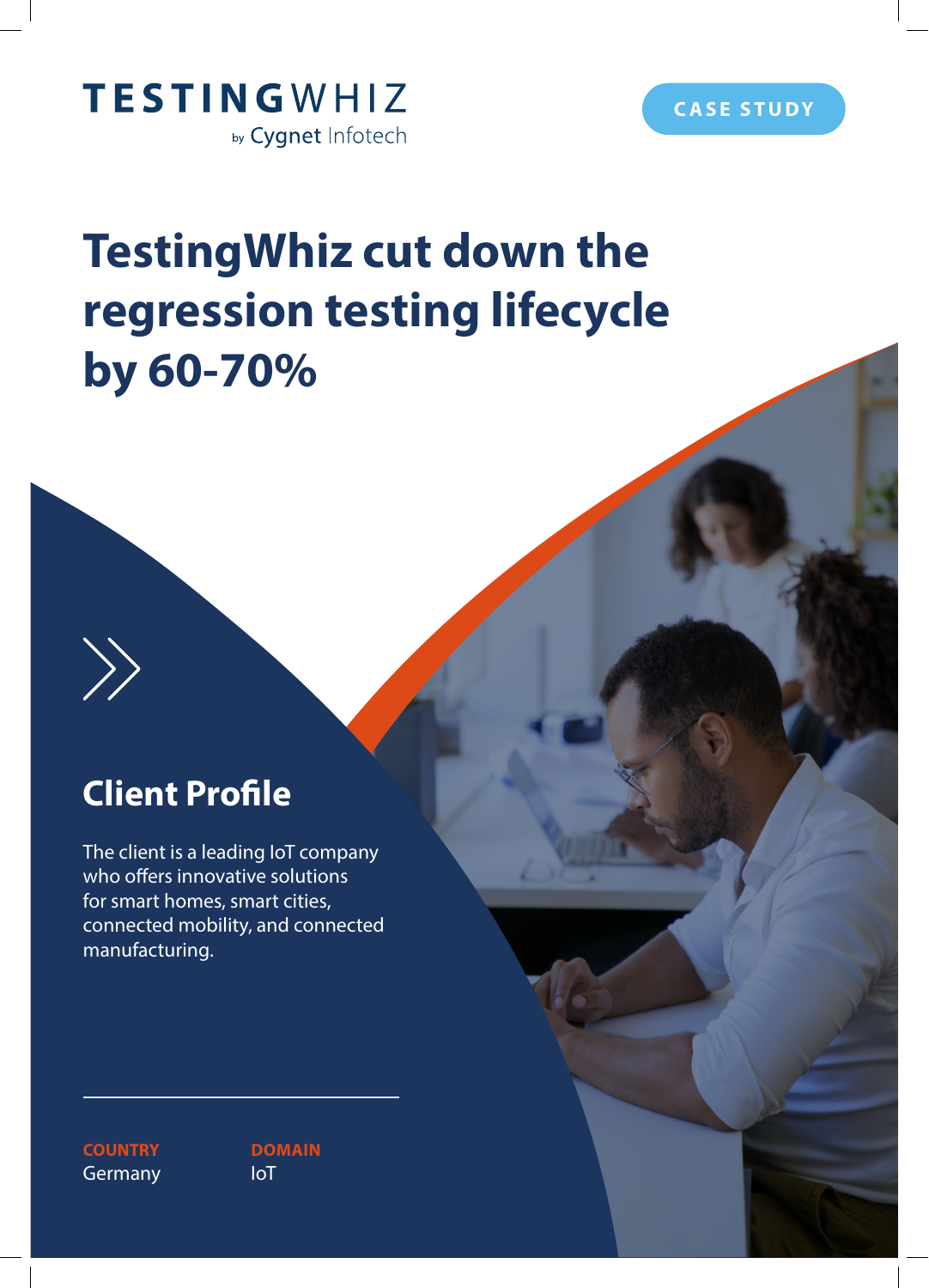



# **TestingWhiz cut down the regression testing lifecycle by 60-70%**

## **Client Profile**

 $\left\langle \right\rangle$ 

The client is a leading IoT company who offers innovative solutions for smart homes, smart cities, connected mobility, and connected manufacturing.

**COUNTRY Germany** 

**DOMAIN** IoT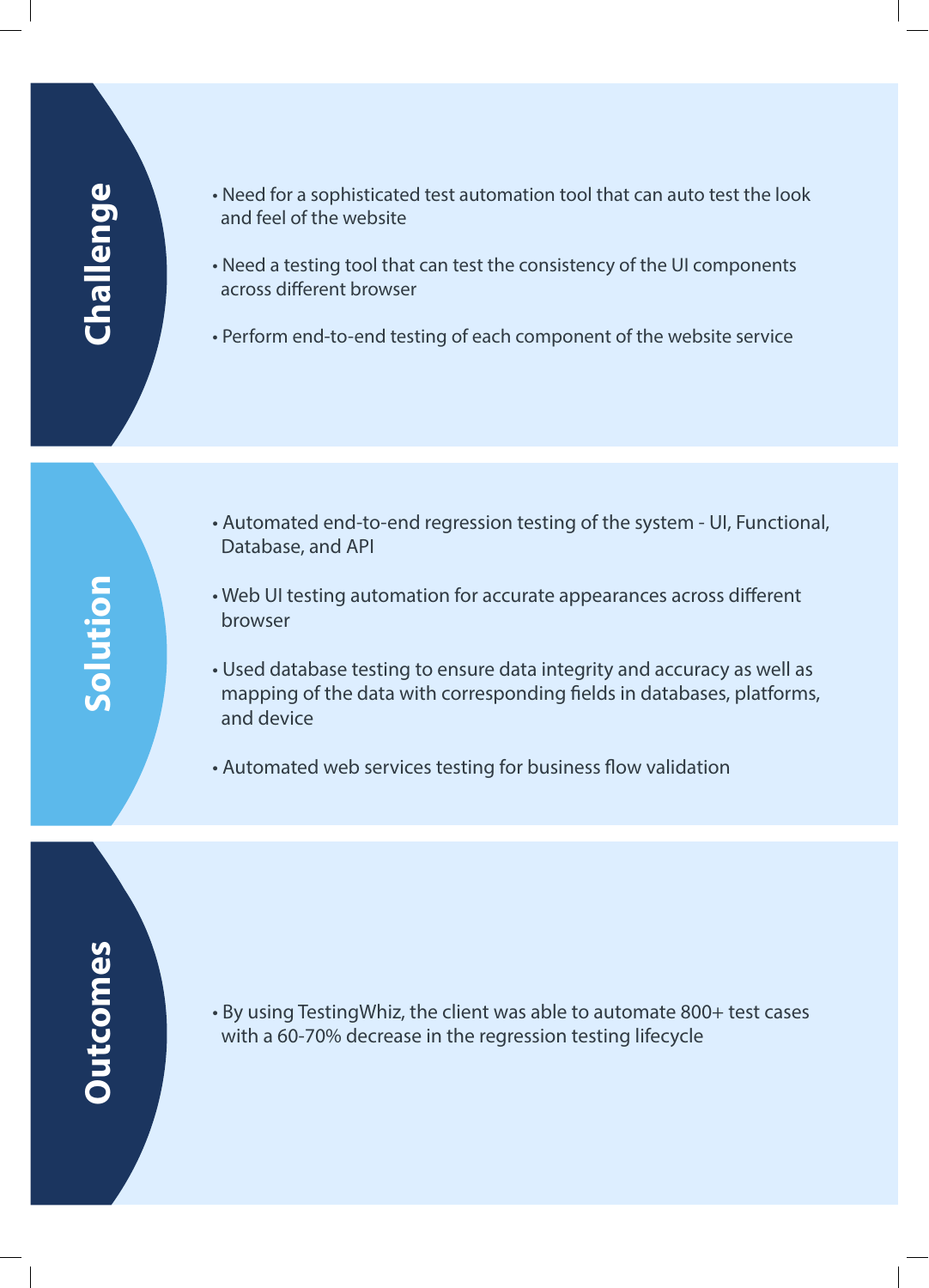# **Challenge**

- Need for a sophisticated test automation tool that can auto test the look and feel of the website
- Need a testing tool that can test the consistency of the UI components across different browser
- Perform end-to-end testing of each component of the website service

- Automated end-to-end regression testing of the system UI, Functional, Database, and API
- Web UI testing automation for accurate appearances across different browser
- Used database testing to ensure data integrity and accuracy as well as mapping of the data with corresponding fields in databases, platforms, and device
- Automated web services testing for business flow validation

# **Outcomes Outcomes**

• By using TestingWhiz, the client was able to automate 800+ test cases with a 60-70% decrease in the regression testing lifecycle